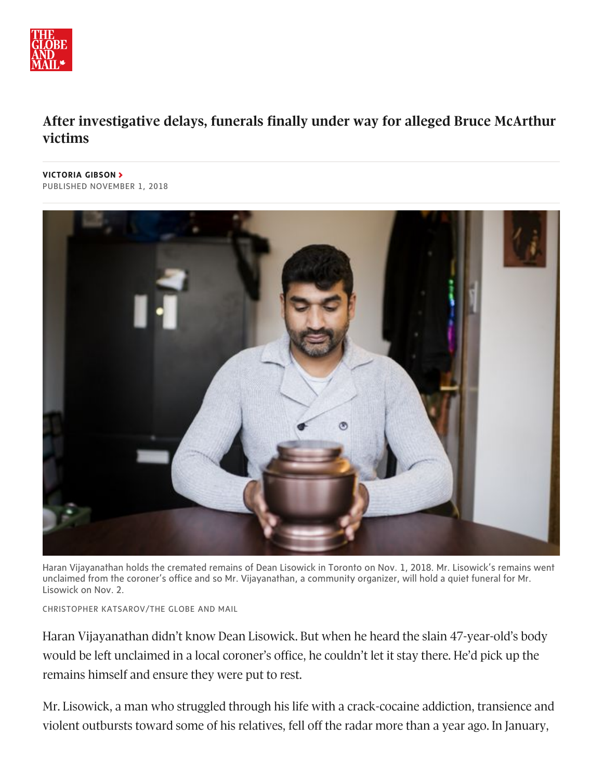

## After investigative delays, funerals finally under way for alleged Bruce McArthur **victims**

**[VICTORIA](https://www.theglobeandmail.com/authors/victoria-gibson/) GIBSON** PUBLISHED NOVEMBER 1, 2018



Haran Vijayanathan holds the cremated remains of Dean Lisowick in Toronto on Nov. 1, 2018. Mr. Lisowick's remains went unclaimed from the coroner's office and so Mr. Vijayanathan, a community organizer, will hold a quiet funeral for Mr. Lisowick on Nov. 2.

CHRISTOPHER KATSAROV/THE GLOBE AND MAIL

Haran Vijayanathan didn't know Dean Lisowick. But when he heard the slain 47-year-old's body would be left unclaimed in a local coroner's office, he couldn't let it stay there. He'd pick up the remains himself and ensure they were put to rest.

Mr. Lisowick, a man who struggled through his life with a crack-cocaine addiction, transience and violent outbursts toward some of his relatives, fell off the radar more than a year ago. In January,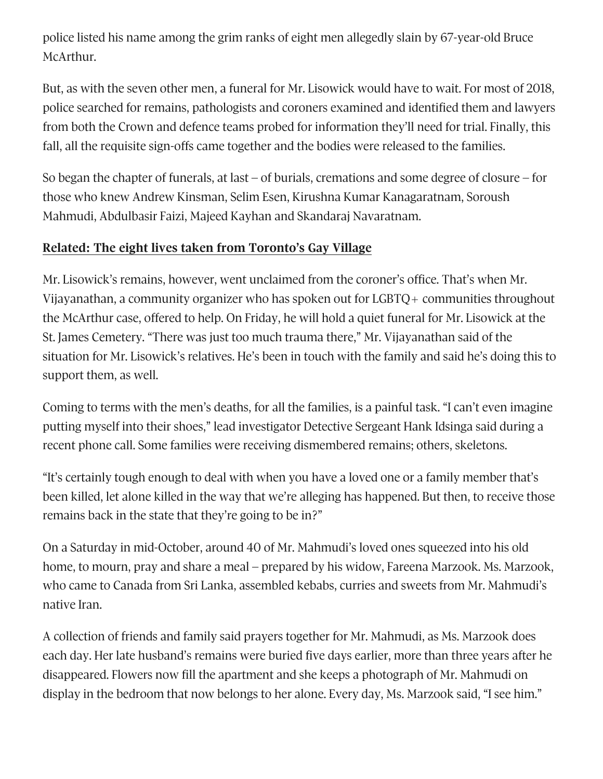police listed his name among the grim ranks of eight men allegedly slain by 67-year-old Bruce McArthur.

But, as with the seven other men, a funeral for Mr. Lisowick would have to wait. For most of 2018, police searched for remains, pathologists and coroners examined and identified them and lawyers from both the Crown and defence teams probed for information they'll need for trial. Finally, this fall, all the requisite sign-offs came together and the bodies were released to the families.

So began the chapter of funerals, at last – of burials, cremations and some degree of closure – for those who knew Andrew Kinsman, Selim Esen, Kirushna Kumar Kanagaratnam, Soroush Mahmudi, Abdulbasir Faizi, Majeed Kayhan and Skandaraj Navaratnam.

## **Related:** The eight lives taken from Toronto's Gay Village

Mr. Lisowick's remains, however, went unclaimed from the coroner's office. That's when Mr. Vijayanathan, a community organizer who has spoken out for LGBTQ+ communities throughout the McArthur case, offered to help. On Friday, he will hold a quiet funeral for Mr. Lisowick at the St. James Cemetery. "There was just too much trauma there," Mr. Vijayanathan said of the situation for Mr. Lisowick's relatives. He's been in touch with the family and said he's doing this to support them, as well.

Coming to terms with the men's deaths, for all the families, is a painful task. "I can't even imagine putting myself into their shoes," lead investigator Detective Sergeant Hank Idsinga said during a recent phone call. Some families were receiving dismembered remains; others, skeletons.

"It's certainly tough enough to deal with when you have a loved one or a family member that's been killed, let alone killed in the way that we're alleging has happened. But then, to receive those remains back in the state that they're going to be in?"

On a Saturday in mid-October, around 40 of Mr. Mahmudi's loved ones squeezed into his old home, to mourn, pray and share a meal – prepared by his widow, Fareena Marzook, Ms. Marzook, who came to Canada from Sri Lanka, assembled kebabs, curries and sweets from Mr. Mahmudi's native Iran.

A collection of friends and family said prayers together for Mr. Mahmudi, as Ms. Marzook does each day. Her late husband's remains were buried five days earlier, more than three years after he disappeared. Flowers now fill the apartment and she keeps a photograph of Mr. Mahmudi on display in the bedroom that now belongs to her alone. Every day, Ms. Marzook said, "I see him."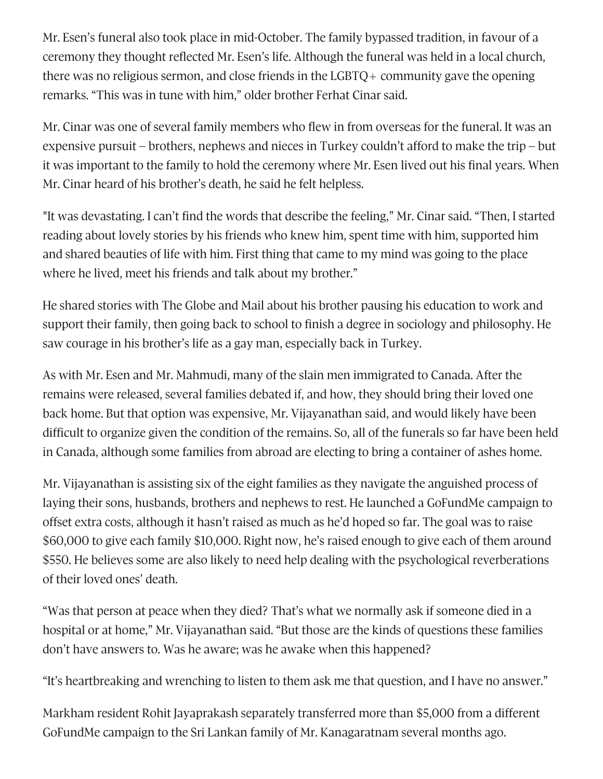Mr. Esen's funeral also took place in mid-October. The family bypassed tradition, in favour of a ceremony they thought reflected Mr. Esen's life. Although the funeral was held in a local church, there was no religious sermon, and close friends in the LGBTQ+ community gave the opening remarks. "This was in tune with him," older brother Ferhat Cinar said.

Mr. Cinar was one of several family members who flew in from overseas for the funeral. It was an expensive pursuit – brothers, nephews and nieces in Turkey couldn't afford to make the trip – but it was important to the family to hold the ceremony where Mr. Esen lived out his final years. When Mr. Cinar heard of his brother's death, he said he felt helpless.

"It was devastating. I can't find the words that describe the feeling," Mr. Cinar said. "Then, I started reading about lovely stories by his friends who knew him, spent time with him, supported him and shared beauties of life with him. First thing that came to my mind was going to the place where he lived, meet his friends and talk about my brother."

He shared stories with The Globe and Mail about his brother pausing his education to work and support their family, then going back to school to finish a degree in sociology and philosophy. He saw courage in his brother's life as a gay man, especially back in Turkey.

As with Mr. Esen and Mr. Mahmudi, many of the slain men immigrated to Canada. After the remains were released, several families debated if, and how, they should bring their loved one back home. But that option was expensive, Mr. Vijayanathan said, and would likely have been difficult to organize given the condition of the remains. So, all of the funerals so far have been held in Canada, although some families from abroad are electing to bring a container of ashes home.

Mr. Vijayanathan is assisting six of the eight families as they navigate the anguished process of laying their sons, husbands, brothers and nephews to rest. He launched a GoFundMe campaign to offset extra costs, although it hasn't raised as much as he'd hoped so far. The goal was to raise \$60,000 to give each family \$10,000. Right now, he's raised enough to give each of them around \$550. He believes some are also likely to need help dealing with the psychological reverberations of their loved ones' death.

"Was that person at peace when they died? That's what we normally ask if someone died in a hospital or at home," Mr. Vijayanathan said. "But those are the kinds of questions these families don't have answers to. Was he aware; was he awake when this happened?

"It's heartbreaking and wrenching to listen to them ask me that question, and I have no answer."

Markham resident Rohit Jayaprakash separately transferred more than \$5,000 from a different GoFundMe campaign to the Sri Lankan family of Mr. Kanagaratnam several months ago.